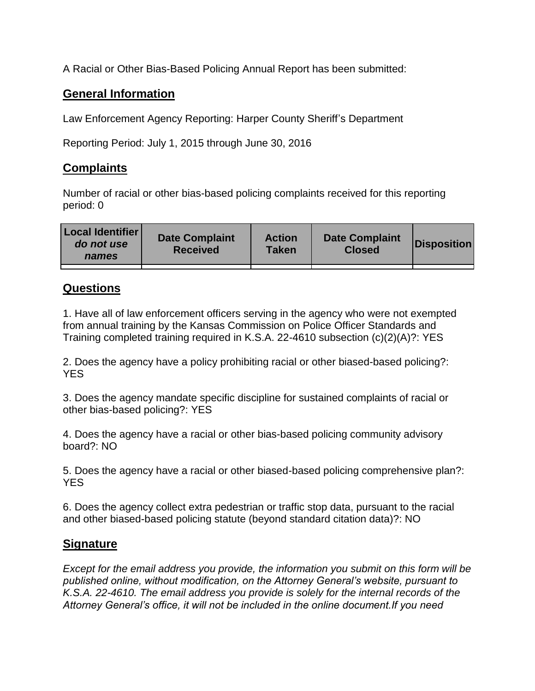A Racial or Other Bias-Based Policing Annual Report has been submitted:

## **General Information**

Law Enforcement Agency Reporting: Harper County Sheriff's Department

Reporting Period: July 1, 2015 through June 30, 2016

## **Complaints**

Number of racial or other bias-based policing complaints received for this reporting period: 0

| <b>Local Identifier</b><br>do not use<br>names | <b>Date Complaint</b><br><b>Received</b> | <b>Action</b><br><b>Taken</b> | <b>Date Complaint</b><br><b>Closed</b> | Disposition |
|------------------------------------------------|------------------------------------------|-------------------------------|----------------------------------------|-------------|
|                                                |                                          |                               |                                        |             |

## **Questions**

1. Have all of law enforcement officers serving in the agency who were not exempted from annual training by the Kansas Commission on Police Officer Standards and Training completed training required in K.S.A. 22-4610 subsection (c)(2)(A)?: YES

2. Does the agency have a policy prohibiting racial or other biased-based policing?: YES

3. Does the agency mandate specific discipline for sustained complaints of racial or other bias-based policing?: YES

4. Does the agency have a racial or other bias-based policing community advisory board?: NO

5. Does the agency have a racial or other biased-based policing comprehensive plan?: YES

6. Does the agency collect extra pedestrian or traffic stop data, pursuant to the racial and other biased-based policing statute (beyond standard citation data)?: NO

## **Signature**

*Except for the email address you provide, the information you submit on this form will be published online, without modification, on the Attorney General's website, pursuant to K.S.A. 22-4610. The email address you provide is solely for the internal records of the Attorney General's office, it will not be included in the online document.If you need*